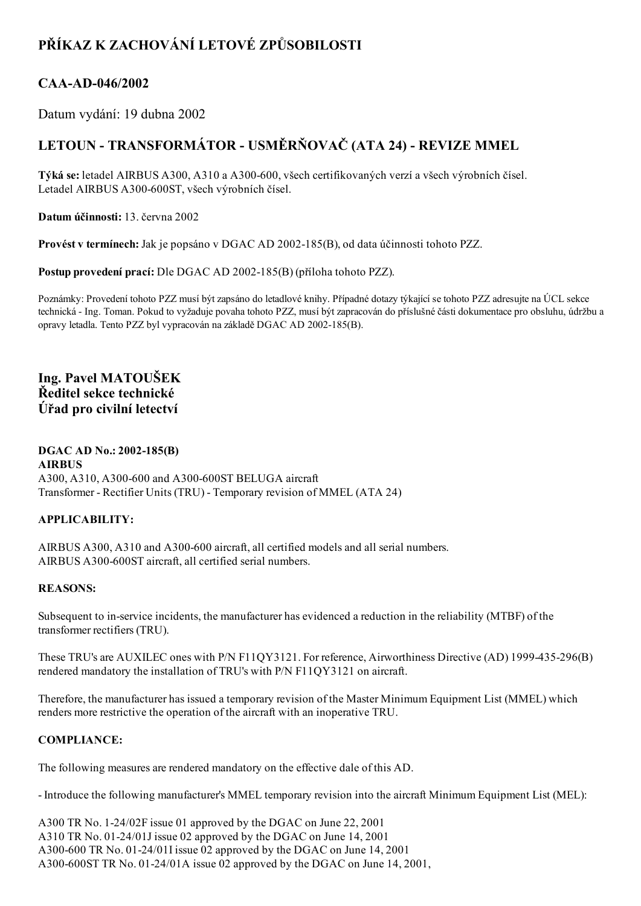# PŘÍKAZ K ZACHOVÁNÍ LETOVÉ ZPŮSOBILOSTI

# CAA-AD-046/2002

Datum vydání: 19 dubna 2002

# LETOUN - TRANSFORMÁTOR - USMĚRŇOVAČ (ATA 24) - REVIZE MMEL

Týká se: letadel AIRBUS A300, A310 a A300-600, všech certifikovaných verzí a všech výrobních čísel. Letadel AIRBUS A300-600ST, všech výrobních čísel.

Datum účinnosti: 13. června 2002

Provést v termínech: Jak je popsáno v DGAC AD 2002-185(B), od data účinnosti tohoto PZZ.

Postup provedení prací: Dle DGAC AD 2002-185(B) (příloha tohoto PZZ).

Poznámky: Provedení tohoto PZZ musí být zapsáno do letadlové knihy. Případné dotazy týkající se tohoto PZZ adresujte na ÚCL sekce technická Ing. Toman. Pokud to vyžaduje povaha tohoto PZZ, musí být zapracován do příslušné části dokumentace pro obsluhu, údržbu a opravy letadla. Tento PZZ byl vypracován na základě DGAC AD 2002-185(B).

Ing. Pavel MATOUŠEK Ředitel sekce technické Úřad pro civilní letectví

#### DGAC AD No.: 2002-185(B) AIRBUS A300, A310, A300-600 and A300-600ST BELUGA aircraft Transformer - Rectifier Units (TRU) - Temporary revision of MMEL (ATA 24)

## APPLICABILITY:

AIRBUS A300, A310 and A300-600 aircraft, all certified models and all serial numbers. AIRBUS A300-600ST aircraft, all certified serial numbers.

## REASONS:

Subsequent to inservice incidents, the manufacturer has evidenced a reduction in the reliability (MTBF) of the transformer rectifiers (TRU).

These TRU's are AUXILEC ones with P/N F11QY3121. For reference, Airworthiness Directive (AD) 1999435296(B) rendered mandatory the installation of TRU's with P/N F11QY3121 on aircraft.

Therefore, the manufacturer has issued a temporary revision of the Master Minimum Equipment List (MMEL) which renders more restrictive the operation of the aircraft with an inoperative TRU.

## COMPLIANCE:

The following measures are rendered mandatory on the effective dale of this AD.

Introduce the following manufacturer's MMEL temporary revision into the aircraft Minimum Equipment List (MEL):

A300 TR No. 1-24/02F issue 01 approved by the DGAC on June 22, 2001 A310 TR No. 01-24/01J issue 02 approved by the DGAC on June 14, 2001 A300-600 TR No. 01-24/01I issue 02 approved by the DGAC on June 14, 2001 A300-600ST TR No. 01-24/01A issue 02 approved by the DGAC on June 14, 2001,